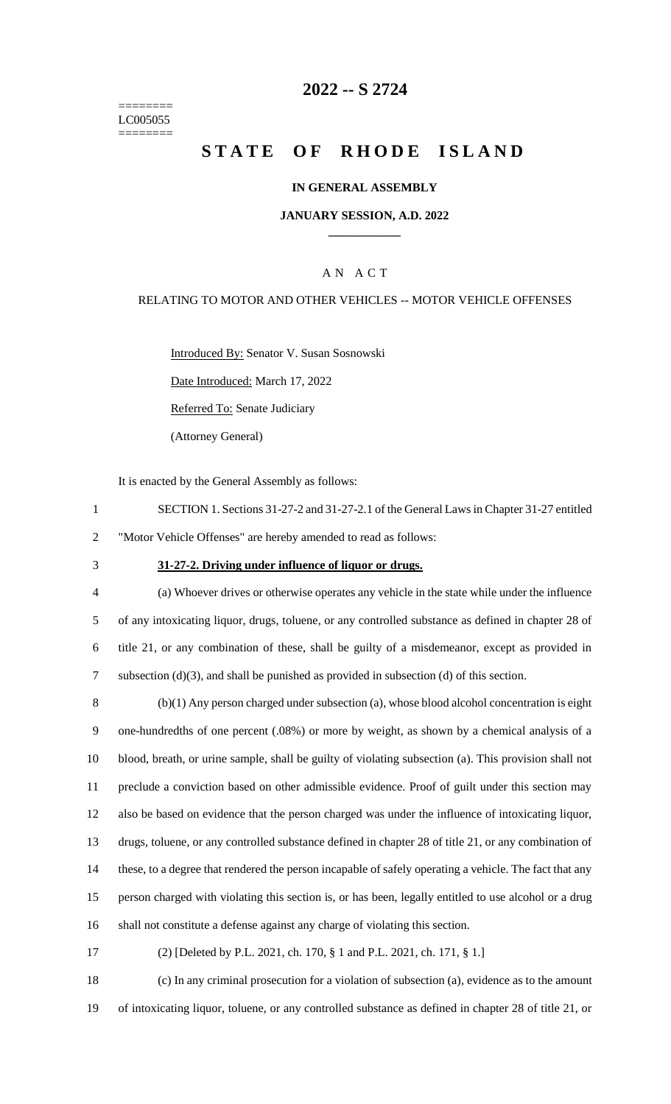======== LC005055 ========

## **2022 -- S 2724**

# **STATE OF RHODE ISLAND**

### **IN GENERAL ASSEMBLY**

### **JANUARY SESSION, A.D. 2022 \_\_\_\_\_\_\_\_\_\_\_\_**

## A N A C T

### RELATING TO MOTOR AND OTHER VEHICLES -- MOTOR VEHICLE OFFENSES

Introduced By: Senator V. Susan Sosnowski

Date Introduced: March 17, 2022

Referred To: Senate Judiciary

(Attorney General)

It is enacted by the General Assembly as follows:

- 1 SECTION 1. Sections 31-27-2 and 31-27-2.1 of the General Laws in Chapter 31-27 entitled 2 "Motor Vehicle Offenses" are hereby amended to read as follows:
- 

#### 3 **31-27-2. Driving under influence of liquor or drugs.**

 (a) Whoever drives or otherwise operates any vehicle in the state while under the influence of any intoxicating liquor, drugs, toluene, or any controlled substance as defined in chapter 28 of title 21, or any combination of these, shall be guilty of a misdemeanor, except as provided in subsection (d)(3), and shall be punished as provided in subsection (d) of this section.

 (b)(1) Any person charged under subsection (a), whose blood alcohol concentration is eight one-hundredths of one percent (.08%) or more by weight, as shown by a chemical analysis of a blood, breath, or urine sample, shall be guilty of violating subsection (a). This provision shall not preclude a conviction based on other admissible evidence. Proof of guilt under this section may also be based on evidence that the person charged was under the influence of intoxicating liquor, drugs, toluene, or any controlled substance defined in chapter 28 of title 21, or any combination of these, to a degree that rendered the person incapable of safely operating a vehicle. The fact that any person charged with violating this section is, or has been, legally entitled to use alcohol or a drug shall not constitute a defense against any charge of violating this section.

17 (2) [Deleted by P.L. 2021, ch. 170, § 1 and P.L. 2021, ch. 171, § 1.]

18 (c) In any criminal prosecution for a violation of subsection (a), evidence as to the amount 19 of intoxicating liquor, toluene, or any controlled substance as defined in chapter 28 of title 21, or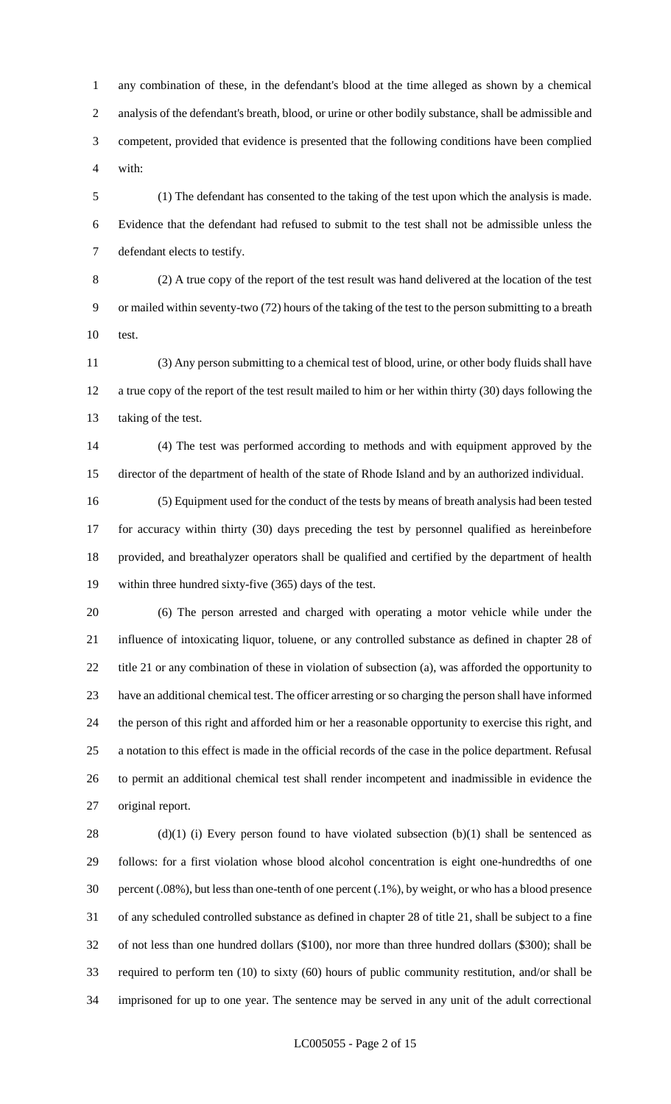any combination of these, in the defendant's blood at the time alleged as shown by a chemical analysis of the defendant's breath, blood, or urine or other bodily substance, shall be admissible and competent, provided that evidence is presented that the following conditions have been complied with:

 (1) The defendant has consented to the taking of the test upon which the analysis is made. Evidence that the defendant had refused to submit to the test shall not be admissible unless the defendant elects to testify.

 (2) A true copy of the report of the test result was hand delivered at the location of the test or mailed within seventy-two (72) hours of the taking of the test to the person submitting to a breath test.

 (3) Any person submitting to a chemical test of blood, urine, or other body fluids shall have a true copy of the report of the test result mailed to him or her within thirty (30) days following the taking of the test.

 (4) The test was performed according to methods and with equipment approved by the director of the department of health of the state of Rhode Island and by an authorized individual.

 (5) Equipment used for the conduct of the tests by means of breath analysis had been tested for accuracy within thirty (30) days preceding the test by personnel qualified as hereinbefore provided, and breathalyzer operators shall be qualified and certified by the department of health within three hundred sixty-five (365) days of the test.

 (6) The person arrested and charged with operating a motor vehicle while under the influence of intoxicating liquor, toluene, or any controlled substance as defined in chapter 28 of title 21 or any combination of these in violation of subsection (a), was afforded the opportunity to have an additional chemical test. The officer arresting or so charging the person shall have informed the person of this right and afforded him or her a reasonable opportunity to exercise this right, and a notation to this effect is made in the official records of the case in the police department. Refusal to permit an additional chemical test shall render incompetent and inadmissible in evidence the original report.

28 (d)(1) (i) Every person found to have violated subsection (b)(1) shall be sentenced as follows: for a first violation whose blood alcohol concentration is eight one-hundredths of one percent (.08%), but less than one-tenth of one percent (.1%), by weight, or who has a blood presence of any scheduled controlled substance as defined in chapter 28 of title 21, shall be subject to a fine of not less than one hundred dollars (\$100), nor more than three hundred dollars (\$300); shall be required to perform ten (10) to sixty (60) hours of public community restitution, and/or shall be imprisoned for up to one year. The sentence may be served in any unit of the adult correctional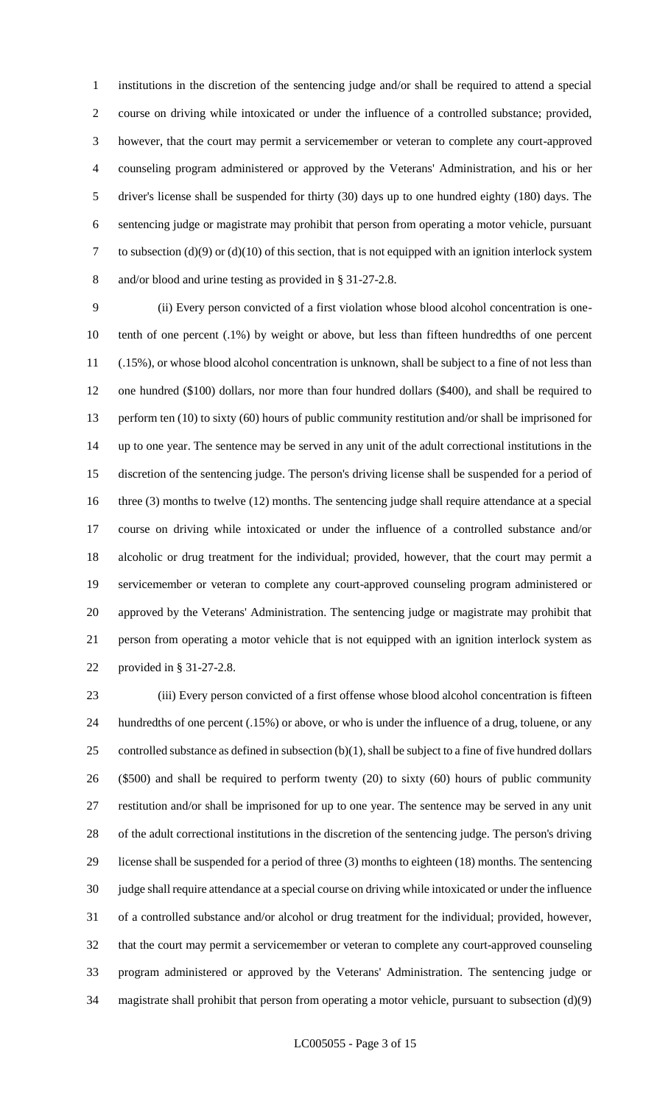institutions in the discretion of the sentencing judge and/or shall be required to attend a special course on driving while intoxicated or under the influence of a controlled substance; provided, however, that the court may permit a servicemember or veteran to complete any court-approved counseling program administered or approved by the Veterans' Administration, and his or her driver's license shall be suspended for thirty (30) days up to one hundred eighty (180) days. The sentencing judge or magistrate may prohibit that person from operating a motor vehicle, pursuant to subsection (d)(9) or (d)(10) of this section, that is not equipped with an ignition interlock system and/or blood and urine testing as provided in § 31-27-2.8.

 (ii) Every person convicted of a first violation whose blood alcohol concentration is one- tenth of one percent (.1%) by weight or above, but less than fifteen hundredths of one percent (.15%), or whose blood alcohol concentration is unknown, shall be subject to a fine of not less than one hundred (\$100) dollars, nor more than four hundred dollars (\$400), and shall be required to 13 perform ten (10) to sixty (60) hours of public community restitution and/or shall be imprisoned for up to one year. The sentence may be served in any unit of the adult correctional institutions in the discretion of the sentencing judge. The person's driving license shall be suspended for a period of 16 three (3) months to twelve (12) months. The sentencing judge shall require attendance at a special course on driving while intoxicated or under the influence of a controlled substance and/or alcoholic or drug treatment for the individual; provided, however, that the court may permit a servicemember or veteran to complete any court-approved counseling program administered or approved by the Veterans' Administration. The sentencing judge or magistrate may prohibit that person from operating a motor vehicle that is not equipped with an ignition interlock system as provided in § 31-27-2.8.

 (iii) Every person convicted of a first offense whose blood alcohol concentration is fifteen hundredths of one percent (.15%) or above, or who is under the influence of a drug, toluene, or any controlled substance as defined in subsection (b)(1), shall be subject to a fine of five hundred dollars (\$500) and shall be required to perform twenty (20) to sixty (60) hours of public community restitution and/or shall be imprisoned for up to one year. The sentence may be served in any unit of the adult correctional institutions in the discretion of the sentencing judge. The person's driving license shall be suspended for a period of three (3) months to eighteen (18) months. The sentencing judge shall require attendance at a special course on driving while intoxicated or under the influence of a controlled substance and/or alcohol or drug treatment for the individual; provided, however, that the court may permit a servicemember or veteran to complete any court-approved counseling program administered or approved by the Veterans' Administration. The sentencing judge or magistrate shall prohibit that person from operating a motor vehicle, pursuant to subsection (d)(9)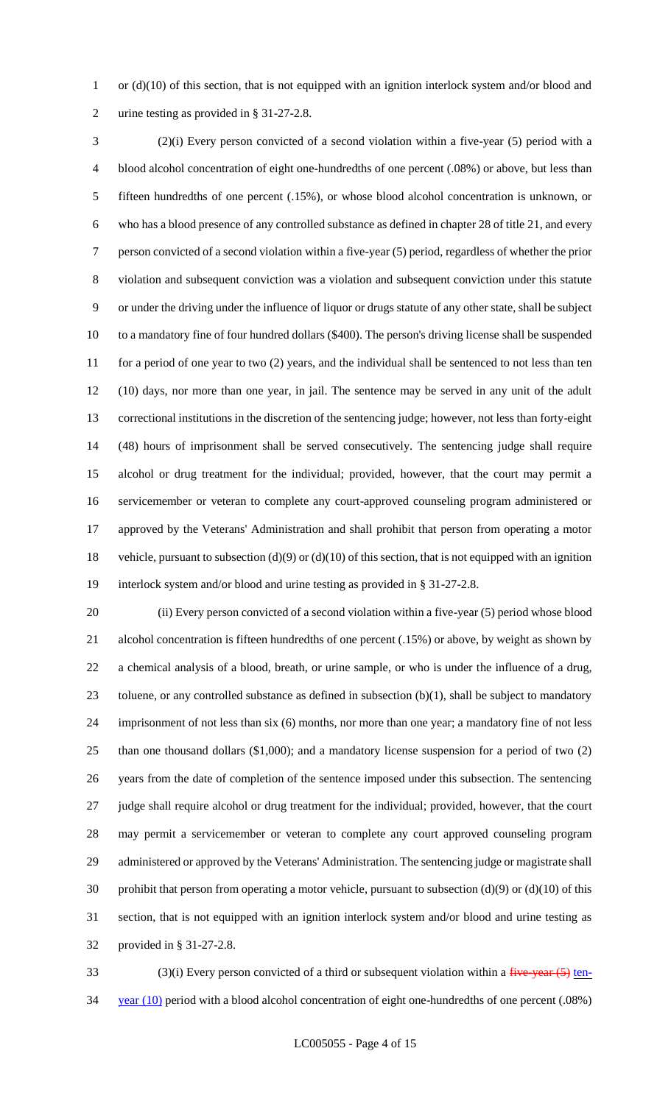1 or (d)(10) of this section, that is not equipped with an ignition interlock system and/or blood and urine testing as provided in § 31-27-2.8.

 (2)(i) Every person convicted of a second violation within a five-year (5) period with a blood alcohol concentration of eight one-hundredths of one percent (.08%) or above, but less than fifteen hundredths of one percent (.15%), or whose blood alcohol concentration is unknown, or who has a blood presence of any controlled substance as defined in chapter 28 of title 21, and every person convicted of a second violation within a five-year (5) period, regardless of whether the prior violation and subsequent conviction was a violation and subsequent conviction under this statute or under the driving under the influence of liquor or drugs statute of any other state, shall be subject to a mandatory fine of four hundred dollars (\$400). The person's driving license shall be suspended 11 for a period of one year to two (2) years, and the individual shall be sentenced to not less than ten (10) days, nor more than one year, in jail. The sentence may be served in any unit of the adult correctional institutions in the discretion of the sentencing judge; however, not less than forty-eight (48) hours of imprisonment shall be served consecutively. The sentencing judge shall require alcohol or drug treatment for the individual; provided, however, that the court may permit a servicemember or veteran to complete any court-approved counseling program administered or approved by the Veterans' Administration and shall prohibit that person from operating a motor 18 vehicle, pursuant to subsection (d)(9) or (d)(10) of this section, that is not equipped with an ignition interlock system and/or blood and urine testing as provided in § 31-27-2.8.

 (ii) Every person convicted of a second violation within a five-year (5) period whose blood alcohol concentration is fifteen hundredths of one percent (.15%) or above, by weight as shown by a chemical analysis of a blood, breath, or urine sample, or who is under the influence of a drug, toluene, or any controlled substance as defined in subsection (b)(1), shall be subject to mandatory imprisonment of not less than six (6) months, nor more than one year; a mandatory fine of not less than one thousand dollars (\$1,000); and a mandatory license suspension for a period of two (2) years from the date of completion of the sentence imposed under this subsection. The sentencing judge shall require alcohol or drug treatment for the individual; provided, however, that the court may permit a servicemember or veteran to complete any court approved counseling program administered or approved by the Veterans' Administration. The sentencing judge or magistrate shall 30 prohibit that person from operating a motor vehicle, pursuant to subsection  $(d)(9)$  or  $(d)(10)$  of this section, that is not equipped with an ignition interlock system and/or blood and urine testing as provided in § 31-27-2.8.

33 (3)(i) Every person convicted of a third or subsequent violation within a  $f^2$  subsequent violation within a  $f^2$  subsequent violation within a  $f^2$  subsequent violation within a  $f^2$  subsequent violation within a 34 year (10) period with a blood alcohol concentration of eight one-hundredths of one percent (.08%)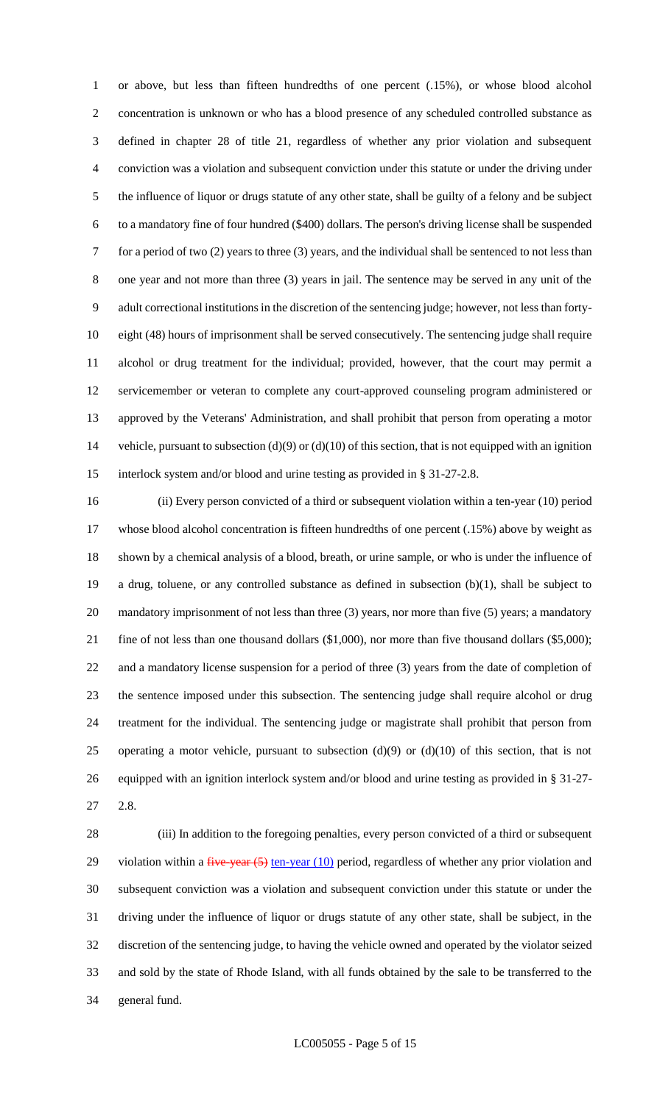or above, but less than fifteen hundredths of one percent (.15%), or whose blood alcohol concentration is unknown or who has a blood presence of any scheduled controlled substance as defined in chapter 28 of title 21, regardless of whether any prior violation and subsequent conviction was a violation and subsequent conviction under this statute or under the driving under the influence of liquor or drugs statute of any other state, shall be guilty of a felony and be subject to a mandatory fine of four hundred (\$400) dollars. The person's driving license shall be suspended for a period of two (2) years to three (3) years, and the individual shall be sentenced to not less than one year and not more than three (3) years in jail. The sentence may be served in any unit of the adult correctional institutions in the discretion of the sentencing judge; however, not less than forty- eight (48) hours of imprisonment shall be served consecutively. The sentencing judge shall require alcohol or drug treatment for the individual; provided, however, that the court may permit a servicemember or veteran to complete any court-approved counseling program administered or approved by the Veterans' Administration, and shall prohibit that person from operating a motor vehicle, pursuant to subsection (d)(9) or (d)(10) of this section, that is not equipped with an ignition interlock system and/or blood and urine testing as provided in § 31-27-2.8.

 (ii) Every person convicted of a third or subsequent violation within a ten-year (10) period whose blood alcohol concentration is fifteen hundredths of one percent (.15%) above by weight as shown by a chemical analysis of a blood, breath, or urine sample, or who is under the influence of a drug, toluene, or any controlled substance as defined in subsection (b)(1), shall be subject to mandatory imprisonment of not less than three (3) years, nor more than five (5) years; a mandatory fine of not less than one thousand dollars (\$1,000), nor more than five thousand dollars (\$5,000); and a mandatory license suspension for a period of three (3) years from the date of completion of the sentence imposed under this subsection. The sentencing judge shall require alcohol or drug treatment for the individual. The sentencing judge or magistrate shall prohibit that person from 25 operating a motor vehicle, pursuant to subsection  $(d)(9)$  or  $(d)(10)$  of this section, that is not equipped with an ignition interlock system and/or blood and urine testing as provided in § 31-27- 2.8.

 (iii) In addition to the foregoing penalties, every person convicted of a third or subsequent 29 violation within a  $\frac{f}{f}$  vear  $(5)$  ten-year  $(10)$  period, regardless of whether any prior violation and subsequent conviction was a violation and subsequent conviction under this statute or under the driving under the influence of liquor or drugs statute of any other state, shall be subject, in the discretion of the sentencing judge, to having the vehicle owned and operated by the violator seized and sold by the state of Rhode Island, with all funds obtained by the sale to be transferred to the general fund.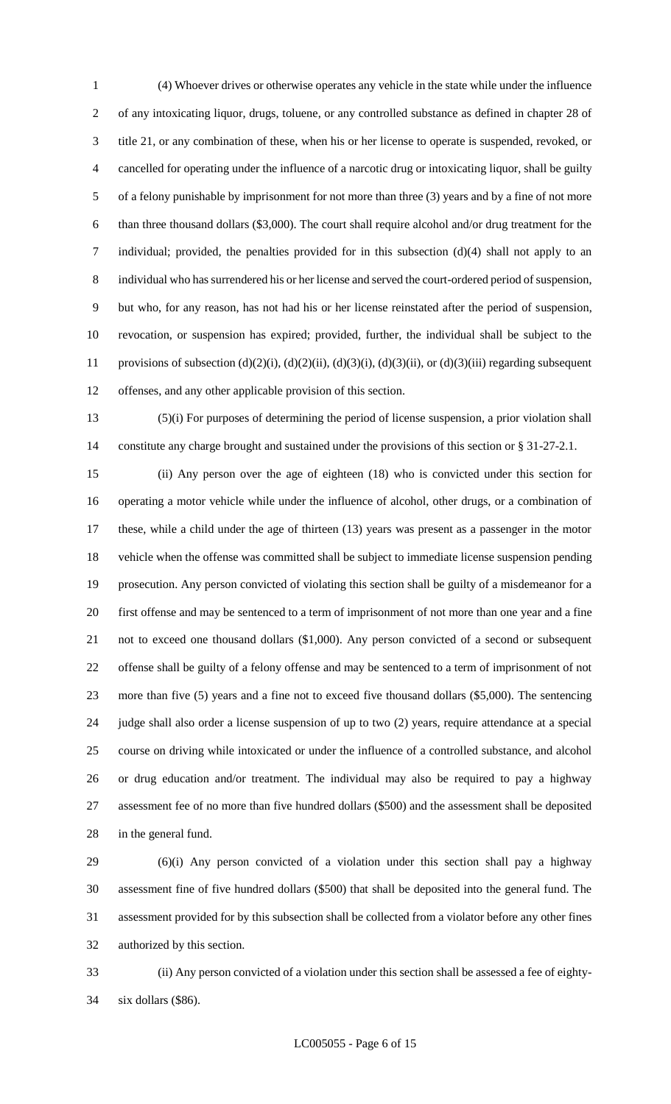(4) Whoever drives or otherwise operates any vehicle in the state while under the influence of any intoxicating liquor, drugs, toluene, or any controlled substance as defined in chapter 28 of title 21, or any combination of these, when his or her license to operate is suspended, revoked, or cancelled for operating under the influence of a narcotic drug or intoxicating liquor, shall be guilty of a felony punishable by imprisonment for not more than three (3) years and by a fine of not more than three thousand dollars (\$3,000). The court shall require alcohol and/or drug treatment for the individual; provided, the penalties provided for in this subsection (d)(4) shall not apply to an individual who has surrendered his or her license and served the court-ordered period of suspension, but who, for any reason, has not had his or her license reinstated after the period of suspension, revocation, or suspension has expired; provided, further, the individual shall be subject to the provisions of subsection (d)(2)(i), (d)(2)(ii), (d)(3)(i), (d)(3)(ii), or (d)(3)(iii) regarding subsequent offenses, and any other applicable provision of this section.

 (5)(i) For purposes of determining the period of license suspension, a prior violation shall constitute any charge brought and sustained under the provisions of this section or § 31-27-2.1.

 (ii) Any person over the age of eighteen (18) who is convicted under this section for operating a motor vehicle while under the influence of alcohol, other drugs, or a combination of these, while a child under the age of thirteen (13) years was present as a passenger in the motor vehicle when the offense was committed shall be subject to immediate license suspension pending prosecution. Any person convicted of violating this section shall be guilty of a misdemeanor for a first offense and may be sentenced to a term of imprisonment of not more than one year and a fine not to exceed one thousand dollars (\$1,000). Any person convicted of a second or subsequent offense shall be guilty of a felony offense and may be sentenced to a term of imprisonment of not more than five (5) years and a fine not to exceed five thousand dollars (\$5,000). The sentencing judge shall also order a license suspension of up to two (2) years, require attendance at a special course on driving while intoxicated or under the influence of a controlled substance, and alcohol or drug education and/or treatment. The individual may also be required to pay a highway assessment fee of no more than five hundred dollars (\$500) and the assessment shall be deposited in the general fund.

 (6)(i) Any person convicted of a violation under this section shall pay a highway assessment fine of five hundred dollars (\$500) that shall be deposited into the general fund. The assessment provided for by this subsection shall be collected from a violator before any other fines authorized by this section.

 (ii) Any person convicted of a violation under this section shall be assessed a fee of eighty-six dollars (\$86).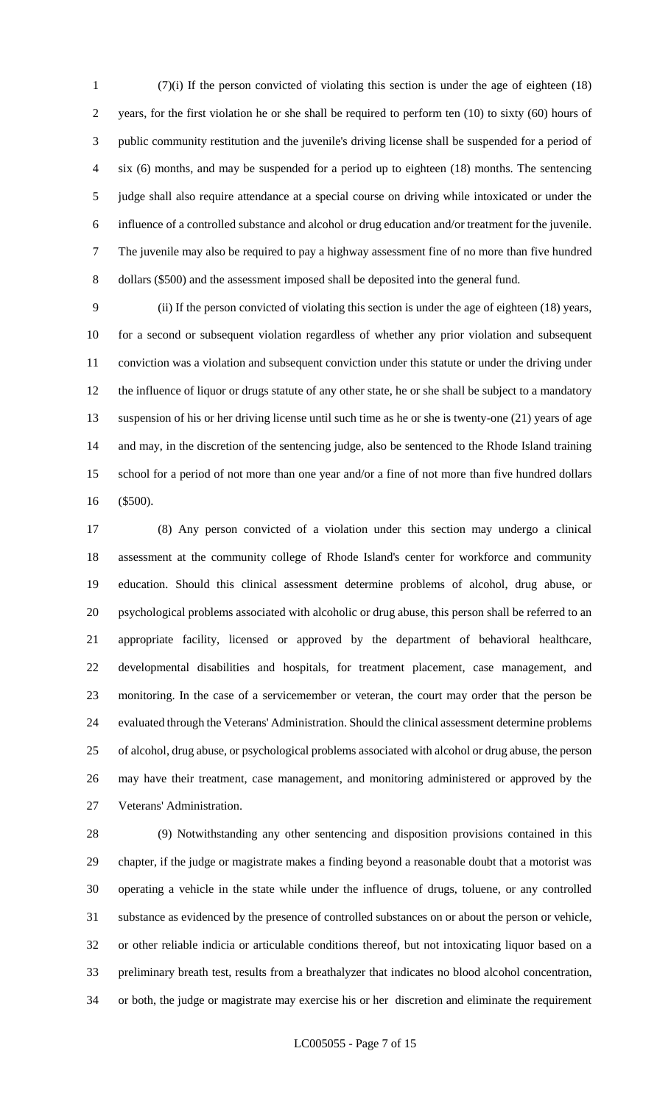(7)(i) If the person convicted of violating this section is under the age of eighteen (18) years, for the first violation he or she shall be required to perform ten (10) to sixty (60) hours of public community restitution and the juvenile's driving license shall be suspended for a period of six (6) months, and may be suspended for a period up to eighteen (18) months. The sentencing judge shall also require attendance at a special course on driving while intoxicated or under the influence of a controlled substance and alcohol or drug education and/or treatment for the juvenile. The juvenile may also be required to pay a highway assessment fine of no more than five hundred dollars (\$500) and the assessment imposed shall be deposited into the general fund.

 (ii) If the person convicted of violating this section is under the age of eighteen (18) years, for a second or subsequent violation regardless of whether any prior violation and subsequent conviction was a violation and subsequent conviction under this statute or under the driving under the influence of liquor or drugs statute of any other state, he or she shall be subject to a mandatory suspension of his or her driving license until such time as he or she is twenty-one (21) years of age and may, in the discretion of the sentencing judge, also be sentenced to the Rhode Island training school for a period of not more than one year and/or a fine of not more than five hundred dollars (\$500).

 (8) Any person convicted of a violation under this section may undergo a clinical assessment at the community college of Rhode Island's center for workforce and community education. Should this clinical assessment determine problems of alcohol, drug abuse, or psychological problems associated with alcoholic or drug abuse, this person shall be referred to an appropriate facility, licensed or approved by the department of behavioral healthcare, developmental disabilities and hospitals, for treatment placement, case management, and monitoring. In the case of a servicemember or veteran, the court may order that the person be evaluated through the Veterans' Administration. Should the clinical assessment determine problems of alcohol, drug abuse, or psychological problems associated with alcohol or drug abuse, the person may have their treatment, case management, and monitoring administered or approved by the Veterans' Administration.

 (9) Notwithstanding any other sentencing and disposition provisions contained in this chapter, if the judge or magistrate makes a finding beyond a reasonable doubt that a motorist was operating a vehicle in the state while under the influence of drugs, toluene, or any controlled substance as evidenced by the presence of controlled substances on or about the person or vehicle, or other reliable indicia or articulable conditions thereof, but not intoxicating liquor based on a preliminary breath test, results from a breathalyzer that indicates no blood alcohol concentration, or both, the judge or magistrate may exercise his or her discretion and eliminate the requirement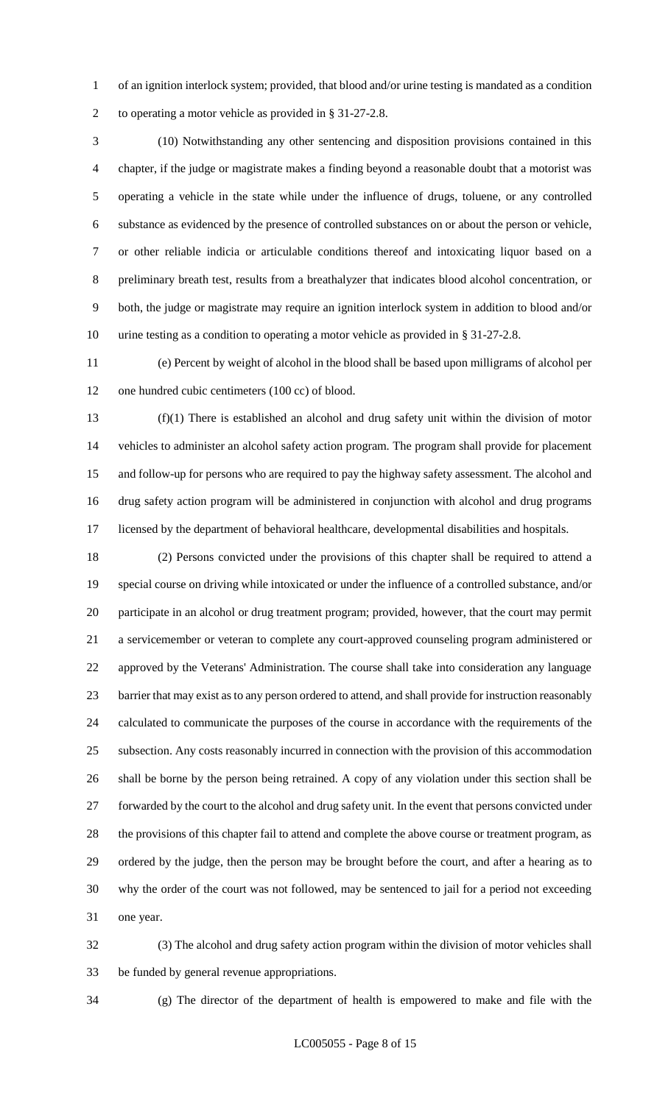of an ignition interlock system; provided, that blood and/or urine testing is mandated as a condition to operating a motor vehicle as provided in § 31-27-2.8.

 (10) Notwithstanding any other sentencing and disposition provisions contained in this chapter, if the judge or magistrate makes a finding beyond a reasonable doubt that a motorist was operating a vehicle in the state while under the influence of drugs, toluene, or any controlled substance as evidenced by the presence of controlled substances on or about the person or vehicle, or other reliable indicia or articulable conditions thereof and intoxicating liquor based on a preliminary breath test, results from a breathalyzer that indicates blood alcohol concentration, or both, the judge or magistrate may require an ignition interlock system in addition to blood and/or urine testing as a condition to operating a motor vehicle as provided in § 31-27-2.8.

 (e) Percent by weight of alcohol in the blood shall be based upon milligrams of alcohol per 12 one hundred cubic centimeters (100 cc) of blood.

 (f)(1) There is established an alcohol and drug safety unit within the division of motor vehicles to administer an alcohol safety action program. The program shall provide for placement and follow-up for persons who are required to pay the highway safety assessment. The alcohol and drug safety action program will be administered in conjunction with alcohol and drug programs licensed by the department of behavioral healthcare, developmental disabilities and hospitals.

 (2) Persons convicted under the provisions of this chapter shall be required to attend a special course on driving while intoxicated or under the influence of a controlled substance, and/or participate in an alcohol or drug treatment program; provided, however, that the court may permit a servicemember or veteran to complete any court-approved counseling program administered or approved by the Veterans' Administration. The course shall take into consideration any language barrier that may exist as to any person ordered to attend, and shall provide for instruction reasonably calculated to communicate the purposes of the course in accordance with the requirements of the subsection. Any costs reasonably incurred in connection with the provision of this accommodation shall be borne by the person being retrained. A copy of any violation under this section shall be forwarded by the court to the alcohol and drug safety unit. In the event that persons convicted under the provisions of this chapter fail to attend and complete the above course or treatment program, as ordered by the judge, then the person may be brought before the court, and after a hearing as to why the order of the court was not followed, may be sentenced to jail for a period not exceeding one year.

 (3) The alcohol and drug safety action program within the division of motor vehicles shall be funded by general revenue appropriations.

(g) The director of the department of health is empowered to make and file with the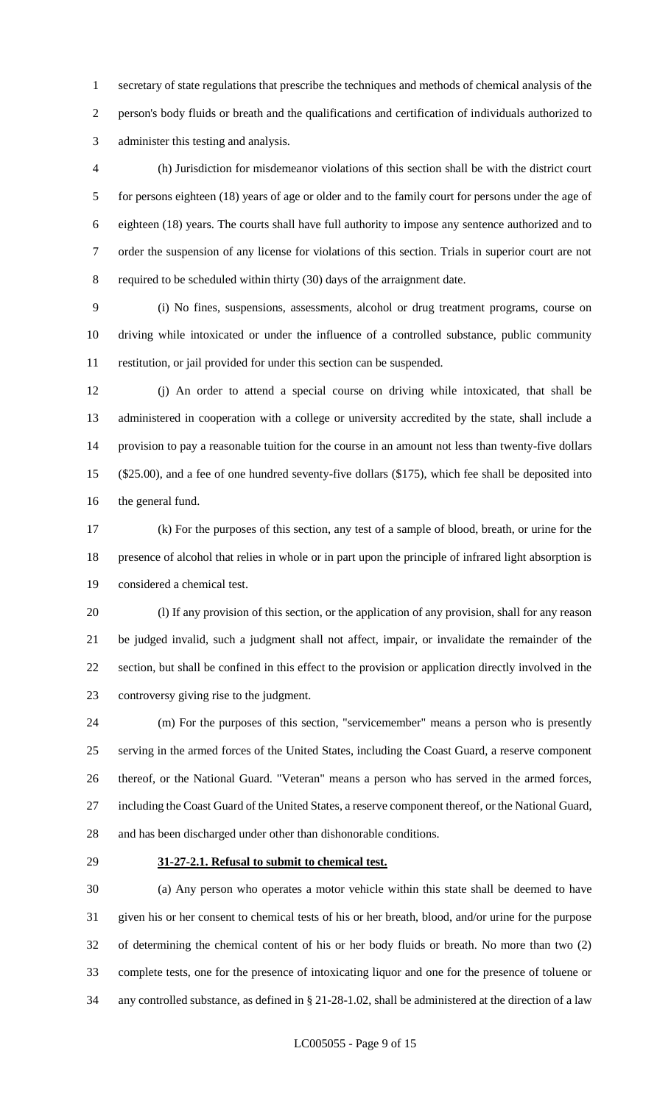secretary of state regulations that prescribe the techniques and methods of chemical analysis of the person's body fluids or breath and the qualifications and certification of individuals authorized to administer this testing and analysis.

 (h) Jurisdiction for misdemeanor violations of this section shall be with the district court for persons eighteen (18) years of age or older and to the family court for persons under the age of eighteen (18) years. The courts shall have full authority to impose any sentence authorized and to order the suspension of any license for violations of this section. Trials in superior court are not required to be scheduled within thirty (30) days of the arraignment date.

 (i) No fines, suspensions, assessments, alcohol or drug treatment programs, course on driving while intoxicated or under the influence of a controlled substance, public community restitution, or jail provided for under this section can be suspended.

 (j) An order to attend a special course on driving while intoxicated, that shall be administered in cooperation with a college or university accredited by the state, shall include a provision to pay a reasonable tuition for the course in an amount not less than twenty-five dollars (\$25.00), and a fee of one hundred seventy-five dollars (\$175), which fee shall be deposited into the general fund.

 (k) For the purposes of this section, any test of a sample of blood, breath, or urine for the presence of alcohol that relies in whole or in part upon the principle of infrared light absorption is considered a chemical test.

 (l) If any provision of this section, or the application of any provision, shall for any reason be judged invalid, such a judgment shall not affect, impair, or invalidate the remainder of the section, but shall be confined in this effect to the provision or application directly involved in the controversy giving rise to the judgment.

 (m) For the purposes of this section, "servicemember" means a person who is presently serving in the armed forces of the United States, including the Coast Guard, a reserve component thereof, or the National Guard. "Veteran" means a person who has served in the armed forces, including the Coast Guard of the United States, a reserve component thereof, or the National Guard, and has been discharged under other than dishonorable conditions.

#### **31-27-2.1. Refusal to submit to chemical test.**

 (a) Any person who operates a motor vehicle within this state shall be deemed to have given his or her consent to chemical tests of his or her breath, blood, and/or urine for the purpose of determining the chemical content of his or her body fluids or breath. No more than two (2) complete tests, one for the presence of intoxicating liquor and one for the presence of toluene or any controlled substance, as defined in § 21-28-1.02, shall be administered at the direction of a law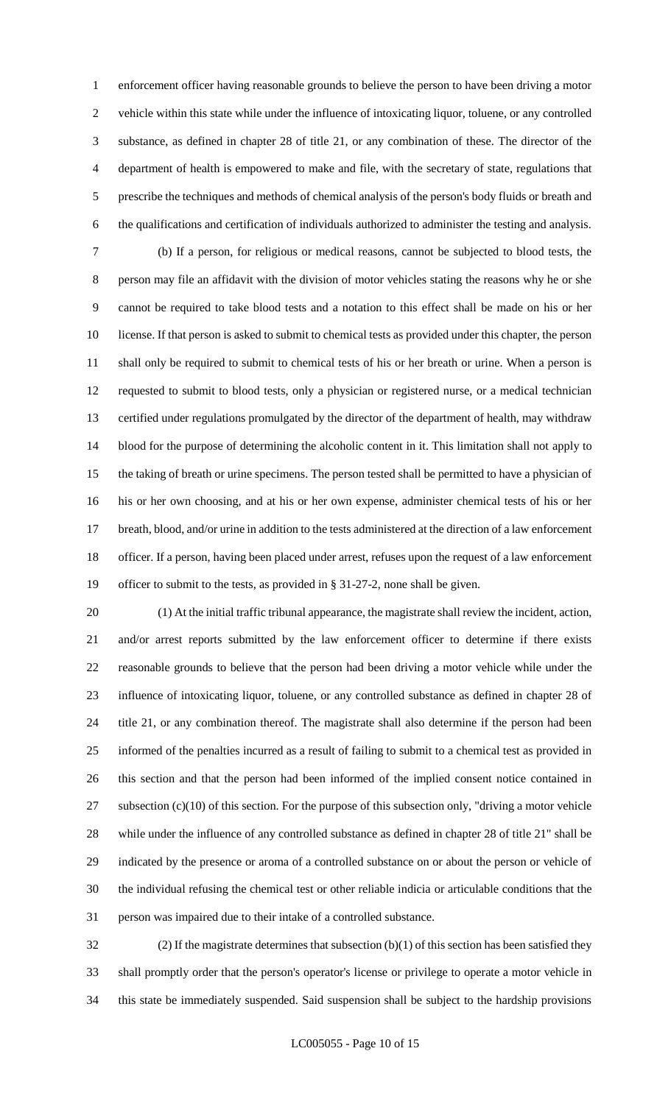enforcement officer having reasonable grounds to believe the person to have been driving a motor vehicle within this state while under the influence of intoxicating liquor, toluene, or any controlled substance, as defined in chapter 28 of title 21, or any combination of these. The director of the department of health is empowered to make and file, with the secretary of state, regulations that prescribe the techniques and methods of chemical analysis of the person's body fluids or breath and the qualifications and certification of individuals authorized to administer the testing and analysis.

 (b) If a person, for religious or medical reasons, cannot be subjected to blood tests, the person may file an affidavit with the division of motor vehicles stating the reasons why he or she cannot be required to take blood tests and a notation to this effect shall be made on his or her license. If that person is asked to submit to chemical tests as provided under this chapter, the person shall only be required to submit to chemical tests of his or her breath or urine. When a person is requested to submit to blood tests, only a physician or registered nurse, or a medical technician certified under regulations promulgated by the director of the department of health, may withdraw blood for the purpose of determining the alcoholic content in it. This limitation shall not apply to the taking of breath or urine specimens. The person tested shall be permitted to have a physician of his or her own choosing, and at his or her own expense, administer chemical tests of his or her breath, blood, and/or urine in addition to the tests administered at the direction of a law enforcement officer. If a person, having been placed under arrest, refuses upon the request of a law enforcement officer to submit to the tests, as provided in § 31-27-2, none shall be given.

 (1) At the initial traffic tribunal appearance, the magistrate shall review the incident, action, and/or arrest reports submitted by the law enforcement officer to determine if there exists reasonable grounds to believe that the person had been driving a motor vehicle while under the influence of intoxicating liquor, toluene, or any controlled substance as defined in chapter 28 of title 21, or any combination thereof. The magistrate shall also determine if the person had been informed of the penalties incurred as a result of failing to submit to a chemical test as provided in this section and that the person had been informed of the implied consent notice contained in subsection (c)(10) of this section. For the purpose of this subsection only, "driving a motor vehicle while under the influence of any controlled substance as defined in chapter 28 of title 21" shall be indicated by the presence or aroma of a controlled substance on or about the person or vehicle of the individual refusing the chemical test or other reliable indicia or articulable conditions that the

person was impaired due to their intake of a controlled substance.

 (2) If the magistrate determines that subsection (b)(1) of this section has been satisfied they shall promptly order that the person's operator's license or privilege to operate a motor vehicle in this state be immediately suspended. Said suspension shall be subject to the hardship provisions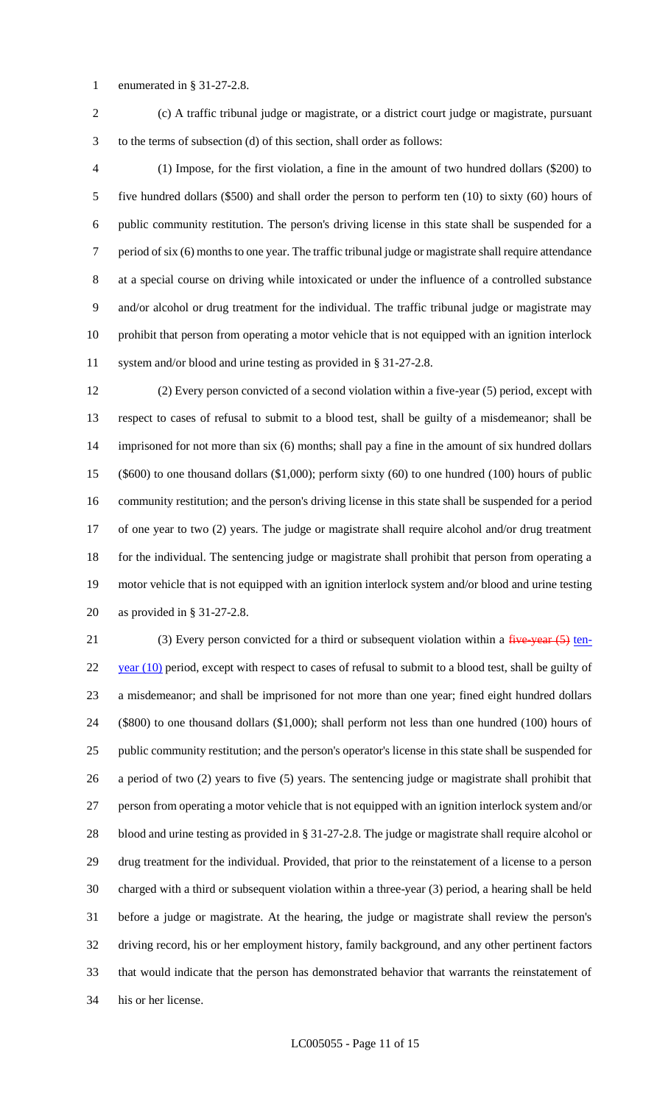enumerated in § 31-27-2.8.

(c) A traffic tribunal judge or magistrate, or a district court judge or magistrate, pursuant

to the terms of subsection (d) of this section, shall order as follows:

 (1) Impose, for the first violation, a fine in the amount of two hundred dollars (\$200) to five hundred dollars (\$500) and shall order the person to perform ten (10) to sixty (60) hours of public community restitution. The person's driving license in this state shall be suspended for a period of six (6) months to one year. The traffic tribunal judge or magistrate shall require attendance at a special course on driving while intoxicated or under the influence of a controlled substance and/or alcohol or drug treatment for the individual. The traffic tribunal judge or magistrate may prohibit that person from operating a motor vehicle that is not equipped with an ignition interlock system and/or blood and urine testing as provided in § 31-27-2.8.

 (2) Every person convicted of a second violation within a five-year (5) period, except with respect to cases of refusal to submit to a blood test, shall be guilty of a misdemeanor; shall be imprisoned for not more than six (6) months; shall pay a fine in the amount of six hundred dollars (\$600) to one thousand dollars (\$1,000); perform sixty (60) to one hundred (100) hours of public community restitution; and the person's driving license in this state shall be suspended for a period of one year to two (2) years. The judge or magistrate shall require alcohol and/or drug treatment for the individual. The sentencing judge or magistrate shall prohibit that person from operating a motor vehicle that is not equipped with an ignition interlock system and/or blood and urine testing as provided in § 31-27-2.8.

21 (3) Every person convicted for a third or subsequent violation within a  $\frac{f^2}{f^2}$  ten- year (10) period, except with respect to cases of refusal to submit to a blood test, shall be guilty of a misdemeanor; and shall be imprisoned for not more than one year; fined eight hundred dollars (\$800) to one thousand dollars (\$1,000); shall perform not less than one hundred (100) hours of public community restitution; and the person's operator's license in this state shall be suspended for a period of two (2) years to five (5) years. The sentencing judge or magistrate shall prohibit that person from operating a motor vehicle that is not equipped with an ignition interlock system and/or blood and urine testing as provided in § 31-27-2.8. The judge or magistrate shall require alcohol or drug treatment for the individual. Provided, that prior to the reinstatement of a license to a person charged with a third or subsequent violation within a three-year (3) period, a hearing shall be held before a judge or magistrate. At the hearing, the judge or magistrate shall review the person's driving record, his or her employment history, family background, and any other pertinent factors that would indicate that the person has demonstrated behavior that warrants the reinstatement of his or her license.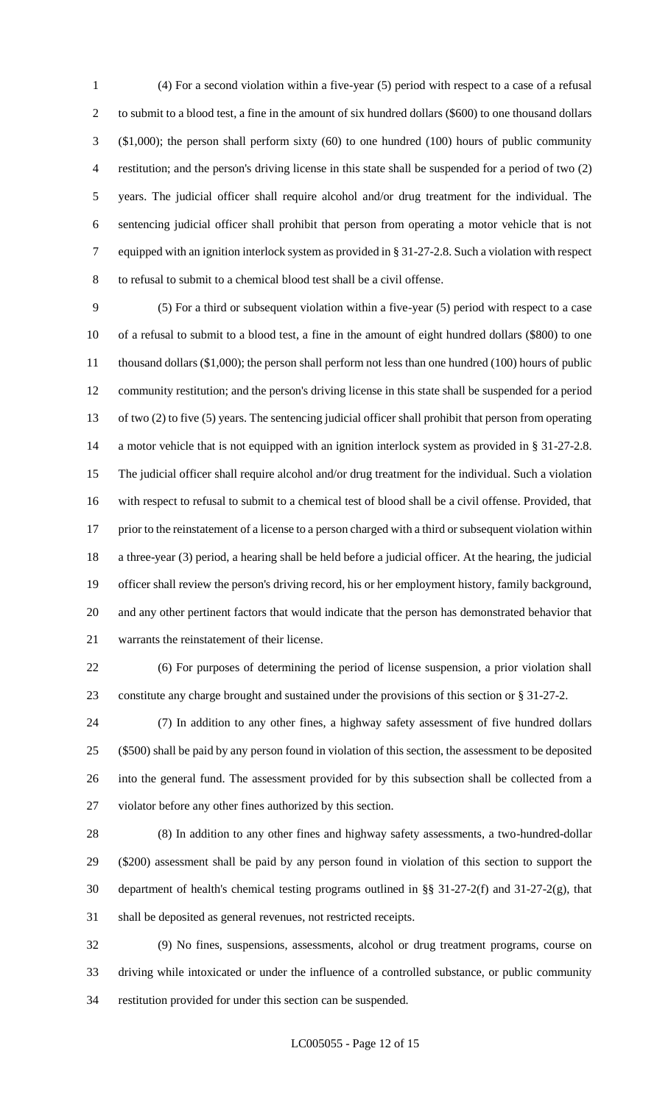(4) For a second violation within a five-year (5) period with respect to a case of a refusal to submit to a blood test, a fine in the amount of six hundred dollars (\$600) to one thousand dollars (\$1,000); the person shall perform sixty (60) to one hundred (100) hours of public community restitution; and the person's driving license in this state shall be suspended for a period of two (2) years. The judicial officer shall require alcohol and/or drug treatment for the individual. The sentencing judicial officer shall prohibit that person from operating a motor vehicle that is not equipped with an ignition interlock system as provided in § 31-27-2.8. Such a violation with respect to refusal to submit to a chemical blood test shall be a civil offense.

 (5) For a third or subsequent violation within a five-year (5) period with respect to a case of a refusal to submit to a blood test, a fine in the amount of eight hundred dollars (\$800) to one thousand dollars (\$1,000); the person shall perform not less than one hundred (100) hours of public community restitution; and the person's driving license in this state shall be suspended for a period of two (2) to five (5) years. The sentencing judicial officer shall prohibit that person from operating a motor vehicle that is not equipped with an ignition interlock system as provided in § 31-27-2.8. The judicial officer shall require alcohol and/or drug treatment for the individual. Such a violation with respect to refusal to submit to a chemical test of blood shall be a civil offense. Provided, that 17 prior to the reinstatement of a license to a person charged with a third or subsequent violation within a three-year (3) period, a hearing shall be held before a judicial officer. At the hearing, the judicial officer shall review the person's driving record, his or her employment history, family background, and any other pertinent factors that would indicate that the person has demonstrated behavior that warrants the reinstatement of their license.

 (6) For purposes of determining the period of license suspension, a prior violation shall constitute any charge brought and sustained under the provisions of this section or § 31-27-2.

 (7) In addition to any other fines, a highway safety assessment of five hundred dollars (\$500) shall be paid by any person found in violation of this section, the assessment to be deposited into the general fund. The assessment provided for by this subsection shall be collected from a violator before any other fines authorized by this section.

 (8) In addition to any other fines and highway safety assessments, a two-hundred-dollar (\$200) assessment shall be paid by any person found in violation of this section to support the department of health's chemical testing programs outlined in §§ 31-27-2(f) and 31-27-2(g), that shall be deposited as general revenues, not restricted receipts.

 (9) No fines, suspensions, assessments, alcohol or drug treatment programs, course on driving while intoxicated or under the influence of a controlled substance, or public community restitution provided for under this section can be suspended.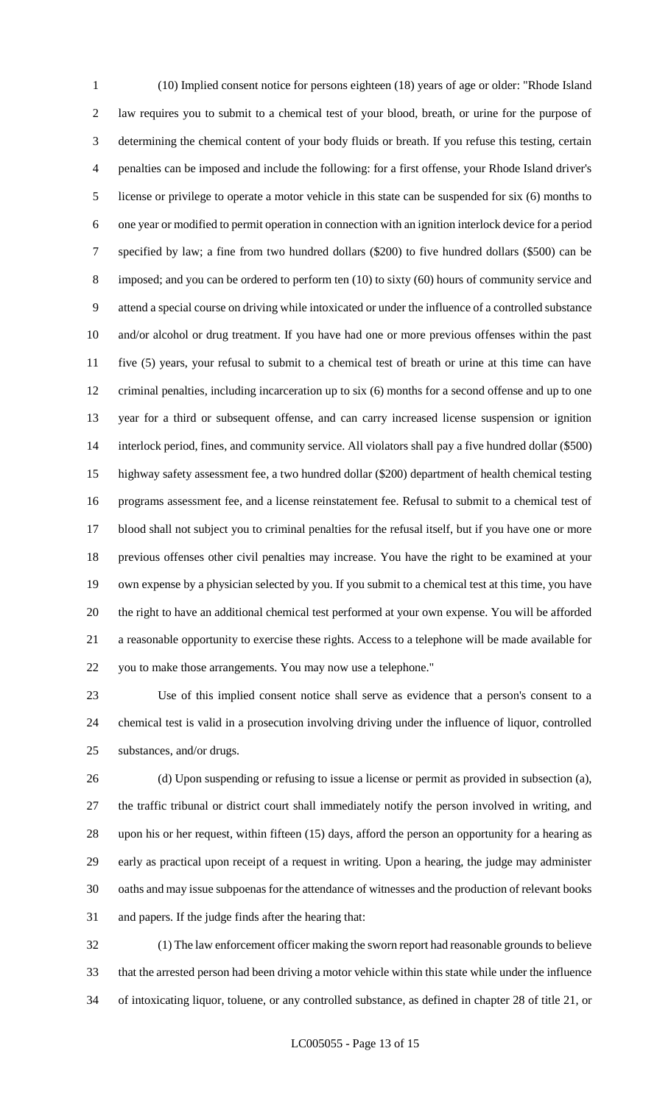(10) Implied consent notice for persons eighteen (18) years of age or older: "Rhode Island law requires you to submit to a chemical test of your blood, breath, or urine for the purpose of determining the chemical content of your body fluids or breath. If you refuse this testing, certain penalties can be imposed and include the following: for a first offense, your Rhode Island driver's license or privilege to operate a motor vehicle in this state can be suspended for six (6) months to one year or modified to permit operation in connection with an ignition interlock device for a period specified by law; a fine from two hundred dollars (\$200) to five hundred dollars (\$500) can be imposed; and you can be ordered to perform ten (10) to sixty (60) hours of community service and attend a special course on driving while intoxicated or under the influence of a controlled substance and/or alcohol or drug treatment. If you have had one or more previous offenses within the past five (5) years, your refusal to submit to a chemical test of breath or urine at this time can have criminal penalties, including incarceration up to six (6) months for a second offense and up to one year for a third or subsequent offense, and can carry increased license suspension or ignition interlock period, fines, and community service. All violators shall pay a five hundred dollar (\$500) highway safety assessment fee, a two hundred dollar (\$200) department of health chemical testing programs assessment fee, and a license reinstatement fee. Refusal to submit to a chemical test of blood shall not subject you to criminal penalties for the refusal itself, but if you have one or more previous offenses other civil penalties may increase. You have the right to be examined at your own expense by a physician selected by you. If you submit to a chemical test at this time, you have the right to have an additional chemical test performed at your own expense. You will be afforded a reasonable opportunity to exercise these rights. Access to a telephone will be made available for you to make those arrangements. You may now use a telephone."

 Use of this implied consent notice shall serve as evidence that a person's consent to a chemical test is valid in a prosecution involving driving under the influence of liquor, controlled substances, and/or drugs.

 (d) Upon suspending or refusing to issue a license or permit as provided in subsection (a), the traffic tribunal or district court shall immediately notify the person involved in writing, and upon his or her request, within fifteen (15) days, afford the person an opportunity for a hearing as early as practical upon receipt of a request in writing. Upon a hearing, the judge may administer oaths and may issue subpoenas for the attendance of witnesses and the production of relevant books and papers. If the judge finds after the hearing that:

 (1) The law enforcement officer making the sworn report had reasonable grounds to believe that the arrested person had been driving a motor vehicle within this state while under the influence of intoxicating liquor, toluene, or any controlled substance, as defined in chapter 28 of title 21, or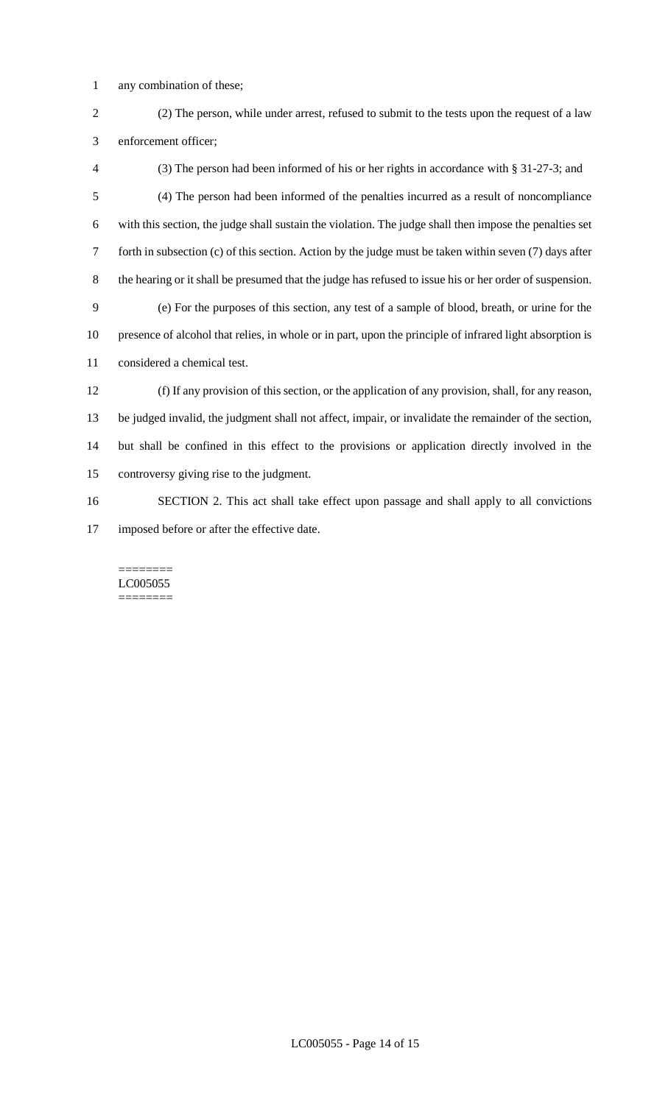- any combination of these;
- (2) The person, while under arrest, refused to submit to the tests upon the request of a law enforcement officer;
- (3) The person had been informed of his or her rights in accordance with § 31-27-3; and (4) The person had been informed of the penalties incurred as a result of noncompliance with this section, the judge shall sustain the violation. The judge shall then impose the penalties set forth in subsection (c) of this section. Action by the judge must be taken within seven (7) days after the hearing or it shall be presumed that the judge has refused to issue his or her order of suspension. (e) For the purposes of this section, any test of a sample of blood, breath, or urine for the presence of alcohol that relies, in whole or in part, upon the principle of infrared light absorption is considered a chemical test. (f) If any provision of this section, or the application of any provision, shall, for any reason, be judged invalid, the judgment shall not affect, impair, or invalidate the remainder of the section, but shall be confined in this effect to the provisions or application directly involved in the
- controversy giving rise to the judgment.
- SECTION 2. This act shall take effect upon passage and shall apply to all convictions imposed before or after the effective date.

======== LC005055 ========